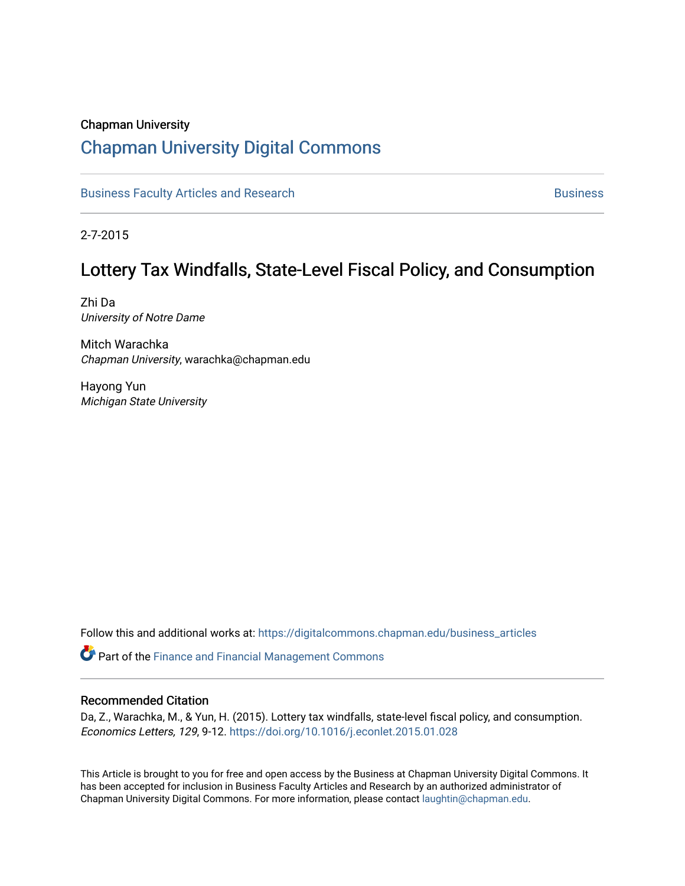#### Chapman University

# [Chapman University Digital Commons](https://digitalcommons.chapman.edu/)

[Business Faculty Articles and Research](https://digitalcommons.chapman.edu/business_articles) [Business](https://digitalcommons.chapman.edu/business) **Business** Business

2-7-2015

# Lottery Tax Windfalls, State-Level Fiscal Policy, and Consumption

Zhi Da University of Notre Dame

Mitch Warachka Chapman University, warachka@chapman.edu

Hayong Yun Michigan State University

Follow this and additional works at: [https://digitalcommons.chapman.edu/business\\_articles](https://digitalcommons.chapman.edu/business_articles?utm_source=digitalcommons.chapman.edu%2Fbusiness_articles%2F124&utm_medium=PDF&utm_campaign=PDFCoverPages) 

Part of the [Finance and Financial Management Commons](http://network.bepress.com/hgg/discipline/631?utm_source=digitalcommons.chapman.edu%2Fbusiness_articles%2F124&utm_medium=PDF&utm_campaign=PDFCoverPages) 

#### Recommended Citation

Da, Z., Warachka, M., & Yun, H. (2015). Lottery tax windfalls, state-level fiscal policy, and consumption. Economics Letters, 129, 9-12.<https://doi.org/10.1016/j.econlet.2015.01.028>

This Article is brought to you for free and open access by the Business at Chapman University Digital Commons. It has been accepted for inclusion in Business Faculty Articles and Research by an authorized administrator of Chapman University Digital Commons. For more information, please contact [laughtin@chapman.edu](mailto:laughtin@chapman.edu).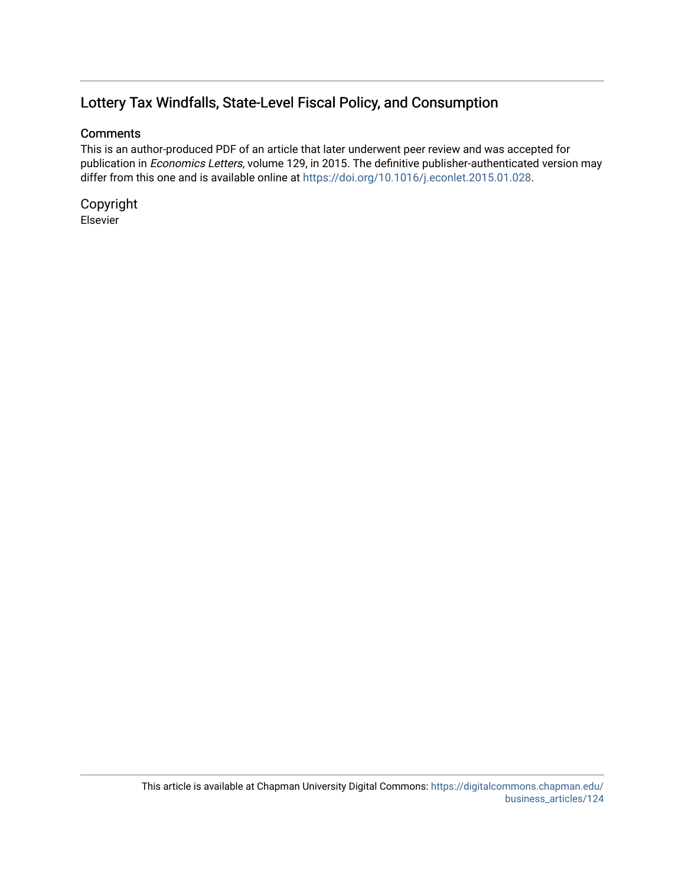# Lottery Tax Windfalls, State-Level Fiscal Policy, and Consumption

#### **Comments**

This is an author-produced PDF of an article that later underwent peer review and was accepted for publication in *Economics Letters*, volume 129, in 2015. The definitive publisher-authenticated version may differ from this one and is available online at <https://doi.org/10.1016/j.econlet.2015.01.028>.

Copyright Elsevier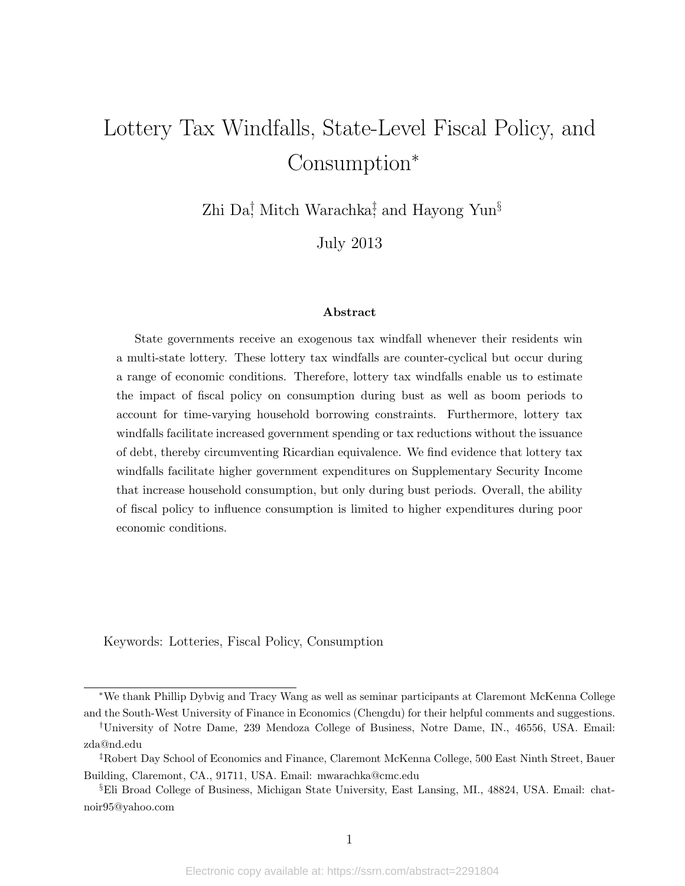# Lottery Tax Windfalls, State-Level Fiscal Policy, and Consumption<sup>∗</sup>

Zhi Da<sup>†</sup> Mitch Warachka<sup>‡</sup> and Hayong Yun<sup>§</sup>

July 2013

#### Abstract

State governments receive an exogenous tax windfall whenever their residents win a multi-state lottery. These lottery tax windfalls are counter-cyclical but occur during a range of economic conditions. Therefore, lottery tax windfalls enable us to estimate the impact of fiscal policy on consumption during bust as well as boom periods to account for time-varying household borrowing constraints. Furthermore, lottery tax windfalls facilitate increased government spending or tax reductions without the issuance of debt, thereby circumventing Ricardian equivalence. We find evidence that lottery tax windfalls facilitate higher government expenditures on Supplementary Security Income that increase household consumption, but only during bust periods. Overall, the ability of fiscal policy to influence consumption is limited to higher expenditures during poor economic conditions.

Keywords: Lotteries, Fiscal Policy, Consumption

<sup>∗</sup>We thank Phillip Dybvig and Tracy Wang as well as seminar participants at Claremont McKenna College and the South-West University of Finance in Economics (Chengdu) for their helpful comments and suggestions.

<sup>†</sup>University of Notre Dame, 239 Mendoza College of Business, Notre Dame, IN., 46556, USA. Email: zda@nd.edu

<sup>‡</sup>Robert Day School of Economics and Finance, Claremont McKenna College, 500 East Ninth Street, Bauer Building, Claremont, CA., 91711, USA. Email: mwarachka@cmc.edu

<sup>§</sup>Eli Broad College of Business, Michigan State University, East Lansing, MI., 48824, USA. Email: chatnoir95@yahoo.com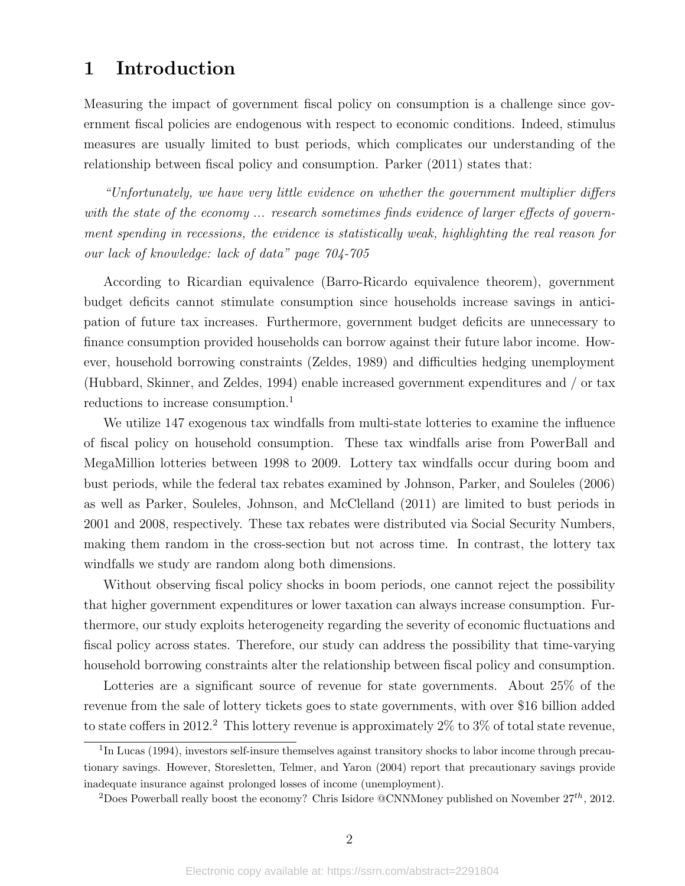# 1 Introduction

Measuring the impact of government fiscal policy on consumption is a challenge since government fiscal policies are endogenous with respect to economic conditions. Indeed, stimulus measures are usually limited to bust periods, which complicates our understanding of the relationship between fiscal policy and consumption. Parker (2011) states that:

"Unfortunately, we have very little evidence on whether the government multiplier differs with the state of the economy ... research sometimes finds evidence of larger effects of government spending in recessions, the evidence is statistically weak, highlighting the real reason for our lack of knowledge: lack of data" page 704-705

According to Ricardian equivalence (Barro-Ricardo equivalence theorem), government budget deficits cannot stimulate consumption since households increase savings in anticipation of future tax increases. Furthermore, government budget deficits are unnecessary to finance consumption provided households can borrow against their future labor income. However, household borrowing constraints (Zeldes, 1989) and difficulties hedging unemployment (Hubbard, Skinner, and Zeldes, 1994) enable increased government expenditures and / or tax reductions to increase consumption.<sup>1</sup>

We utilize 147 exogenous tax windfalls from multi-state lotteries to examine the influence of fiscal policy on household consumption. These tax windfalls arise from PowerBall and MegaMillion lotteries between 1998 to 2009. Lottery tax windfalls occur during boom and bust periods, while the federal tax rebates examined by Johnson, Parker, and Souleles (2006) as well as Parker, Souleles, Johnson, and McClelland (2011) are limited to bust periods in 2001 and 2008, respectively. These tax rebates were distributed via Social Security Numbers, making them random in the cross-section but not across time. In contrast, the lottery tax windfalls we study are random along both dimensions.

Without observing fiscal policy shocks in boom periods, one cannot reject the possibility that higher government expenditures or lower taxation can always increase consumption. Furthermore, our study exploits heterogeneity regarding the severity of economic fluctuations and fiscal policy across states. Therefore, our study can address the possibility that time-varying household borrowing constraints alter the relationship between fiscal policy and consumption.

Lotteries are a significant source of revenue for state governments. About 25\% of the revenue from the sale of lottery tickets goes to state governments, with over \$16 billion added to state coffers in 2012.<sup>2</sup> This lottery revenue is approximately 2\% to 3\% of total state revenue,

<sup>&</sup>lt;sup>1</sup>In Lucas (1994), investors self-insure themselves against transitory shocks to labor income through precautionary savings. However, Storesletten, Telmer, and Yaron (2004) report that precautionary savings provide inadequate insurance against prolonged losses of income (unemployment).

<sup>&</sup>lt;sup>2</sup>Does Powerball really boost the economy? Chris Isidore @CNNMoney published on November  $27<sup>th</sup>$ , 2012.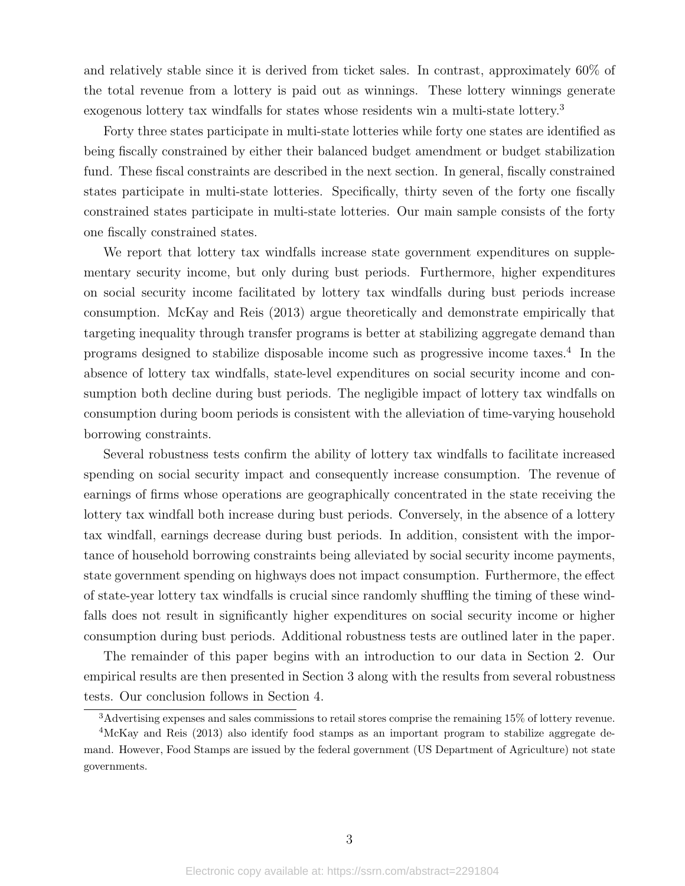and relatively stable since it is derived from ticket sales. In contrast, approximately 60% of the total revenue from a lottery is paid out as winnings. These lottery winnings generate exogenous lottery tax windfalls for states whose residents win a multi-state lottery.<sup>3</sup>

Forty three states participate in multi-state lotteries while forty one states are identified as being fiscally constrained by either their balanced budget amendment or budget stabilization fund. These fiscal constraints are described in the next section. In general, fiscally constrained states participate in multi-state lotteries. Specifically, thirty seven of the forty one fiscally constrained states participate in multi-state lotteries. Our main sample consists of the forty one fiscally constrained states.

We report that lottery tax windfalls increase state government expenditures on supplementary security income, but only during bust periods. Furthermore, higher expenditures on social security income facilitated by lottery tax windfalls during bust periods increase consumption. McKay and Reis (2013) argue theoretically and demonstrate empirically that targeting inequality through transfer programs is better at stabilizing aggregate demand than programs designed to stabilize disposable income such as progressive income taxes.<sup>4</sup> In the absence of lottery tax windfalls, state-level expenditures on social security income and consumption both decline during bust periods. The negligible impact of lottery tax windfalls on consumption during boom periods is consistent with the alleviation of time-varying household borrowing constraints.

Several robustness tests confirm the ability of lottery tax windfalls to facilitate increased spending on social security impact and consequently increase consumption. The revenue of earnings of firms whose operations are geographically concentrated in the state receiving the lottery tax windfall both increase during bust periods. Conversely, in the absence of a lottery tax windfall, earnings decrease during bust periods. In addition, consistent with the importance of household borrowing constraints being alleviated by social security income payments, state government spending on highways does not impact consumption. Furthermore, the effect of state-year lottery tax windfalls is crucial since randomly shuffling the timing of these windfalls does not result in significantly higher expenditures on social security income or higher consumption during bust periods. Additional robustness tests are outlined later in the paper.

The remainder of this paper begins with an introduction to our data in Section 2. Our empirical results are then presented in Section 3 along with the results from several robustness tests. Our conclusion follows in Section 4.

<sup>3</sup>Advertising expenses and sales commissions to retail stores comprise the remaining 15% of lottery revenue. <sup>4</sup>McKay and Reis (2013) also identify food stamps as an important program to stabilize aggregate demand. However, Food Stamps are issued by the federal government (US Department of Agriculture) not state governments.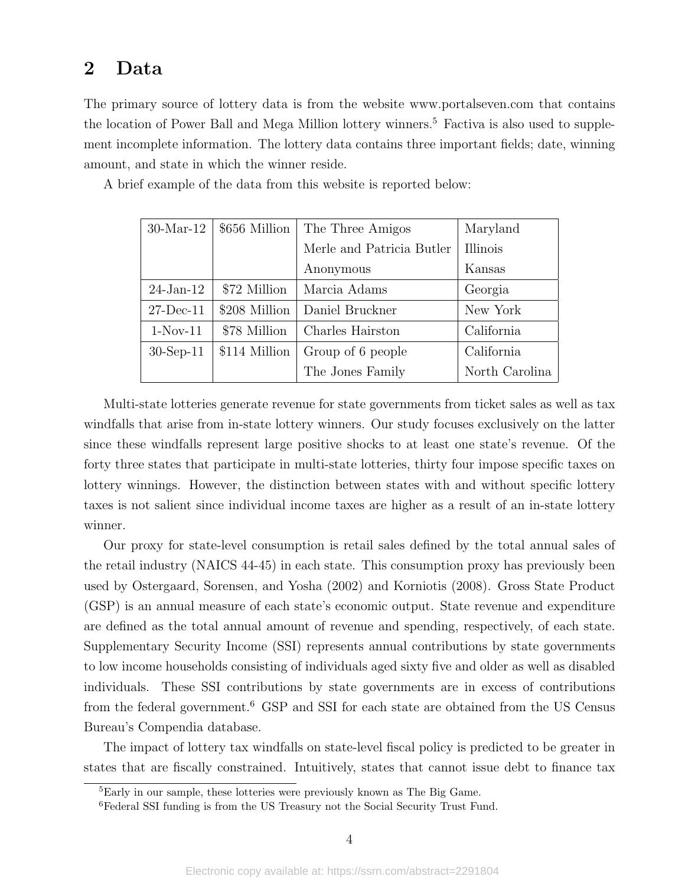# 2 Data

The primary source of lottery data is from the website www.portalseven.com that contains the location of Power Ball and Mega Million lottery winners.<sup>5</sup> Factiva is also used to supplement incomplete information. The lottery data contains three important fields; date, winning amount, and state in which the winner reside.

| $30$ -Mar-12 | \$656 Million | The Three Amigos          | Maryland       |
|--------------|---------------|---------------------------|----------------|
|              |               | Merle and Patricia Butler | Illinois       |
|              |               | Anonymous                 | Kansas         |
| $24$ -Jan-12 | \$72 Million  | Marcia Adams              | Georgia        |
| $27$ -Dec-11 | \$208 Million | Daniel Bruckner           | New York       |
| $1-Nov-11$   | \$78 Million  | Charles Hairston          | California     |
| $30-Sep-11$  | \$114 Million | Group of 6 people         | California     |
|              |               | The Jones Family          | North Carolina |

A brief example of the data from this website is reported below:

Multi-state lotteries generate revenue for state governments from ticket sales as well as tax windfalls that arise from in-state lottery winners. Our study focuses exclusively on the latter since these windfalls represent large positive shocks to at least one state's revenue. Of the forty three states that participate in multi-state lotteries, thirty four impose specific taxes on lottery winnings. However, the distinction between states with and without specific lottery taxes is not salient since individual income taxes are higher as a result of an in-state lottery winner.

Our proxy for state-level consumption is retail sales defined by the total annual sales of the retail industry (NAICS 44-45) in each state. This consumption proxy has previously been used by Ostergaard, Sorensen, and Yosha (2002) and Korniotis (2008). Gross State Product (GSP) is an annual measure of each state's economic output. State revenue and expenditure are defined as the total annual amount of revenue and spending, respectively, of each state. Supplementary Security Income (SSI) represents annual contributions by state governments to low income households consisting of individuals aged sixty five and older as well as disabled individuals. These SSI contributions by state governments are in excess of contributions from the federal government.<sup>6</sup> GSP and SSI for each state are obtained from the US Census Bureau's Compendia database.

The impact of lottery tax windfalls on state-level fiscal policy is predicted to be greater in states that are fiscally constrained. Intuitively, states that cannot issue debt to finance tax

<sup>5</sup>Early in our sample, these lotteries were previously known as The Big Game.

<sup>6</sup>Federal SSI funding is from the US Treasury not the Social Security Trust Fund.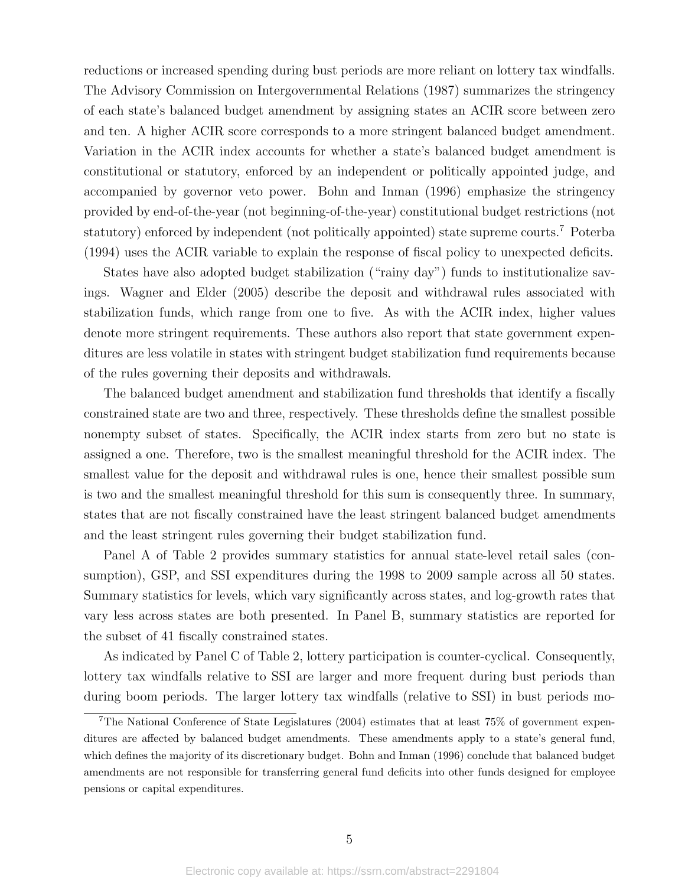reductions or increased spending during bust periods are more reliant on lottery tax windfalls. The Advisory Commission on Intergovernmental Relations (1987) summarizes the stringency of each state's balanced budget amendment by assigning states an ACIR score between zero and ten. A higher ACIR score corresponds to a more stringent balanced budget amendment. Variation in the ACIR index accounts for whether a state's balanced budget amendment is constitutional or statutory, enforced by an independent or politically appointed judge, and accompanied by governor veto power. Bohn and Inman (1996) emphasize the stringency provided by end-of-the-year (not beginning-of-the-year) constitutional budget restrictions (not statutory) enforced by independent (not politically appointed) state supreme courts.<sup>7</sup> Poterba (1994) uses the ACIR variable to explain the response of fiscal policy to unexpected deficits.

States have also adopted budget stabilization ("rainy day") funds to institutionalize savings. Wagner and Elder (2005) describe the deposit and withdrawal rules associated with stabilization funds, which range from one to five. As with the ACIR index, higher values denote more stringent requirements. These authors also report that state government expenditures are less volatile in states with stringent budget stabilization fund requirements because of the rules governing their deposits and withdrawals.

The balanced budget amendment and stabilization fund thresholds that identify a fiscally constrained state are two and three, respectively. These thresholds define the smallest possible nonempty subset of states. Specifically, the ACIR index starts from zero but no state is assigned a one. Therefore, two is the smallest meaningful threshold for the ACIR index. The smallest value for the deposit and withdrawal rules is one, hence their smallest possible sum is two and the smallest meaningful threshold for this sum is consequently three. In summary, states that are not fiscally constrained have the least stringent balanced budget amendments and the least stringent rules governing their budget stabilization fund.

Panel A of Table 2 provides summary statistics for annual state-level retail sales (consumption), GSP, and SSI expenditures during the 1998 to 2009 sample across all 50 states. Summary statistics for levels, which vary significantly across states, and log-growth rates that vary less across states are both presented. In Panel B, summary statistics are reported for the subset of 41 fiscally constrained states.

As indicated by Panel C of Table 2, lottery participation is counter-cyclical. Consequently, lottery tax windfalls relative to SSI are larger and more frequent during bust periods than during boom periods. The larger lottery tax windfalls (relative to SSI) in bust periods mo-

<sup>7</sup>The National Conference of State Legislatures (2004) estimates that at least 75% of government expenditures are affected by balanced budget amendments. These amendments apply to a state's general fund, which defines the majority of its discretionary budget. Bohn and Inman (1996) conclude that balanced budget amendments are not responsible for transferring general fund deficits into other funds designed for employee pensions or capital expenditures.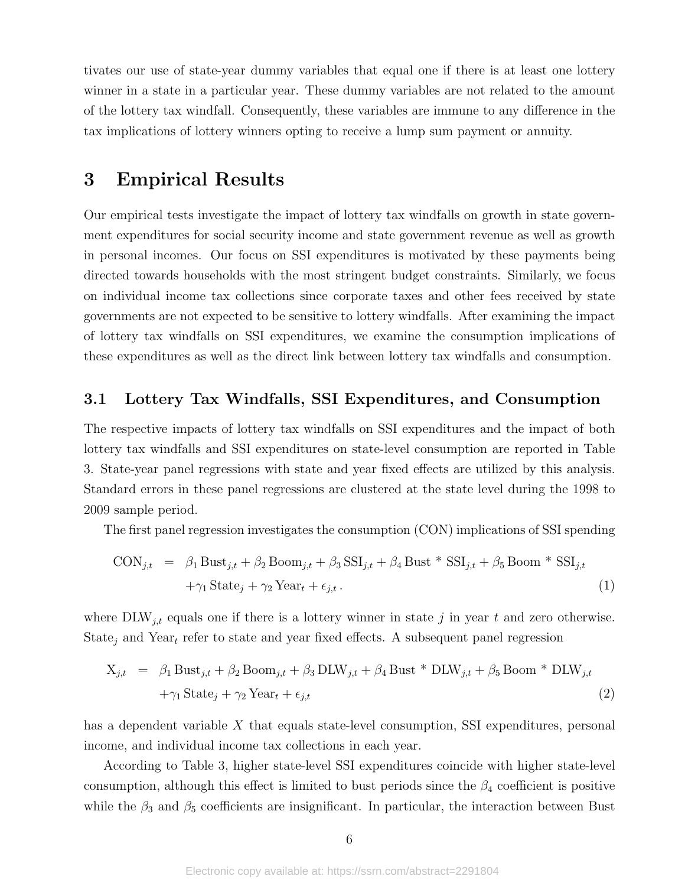tivates our use of state-year dummy variables that equal one if there is at least one lottery winner in a state in a particular year. These dummy variables are not related to the amount of the lottery tax windfall. Consequently, these variables are immune to any difference in the tax implications of lottery winners opting to receive a lump sum payment or annuity.

# 3 Empirical Results

Our empirical tests investigate the impact of lottery tax windfalls on growth in state government expenditures for social security income and state government revenue as well as growth in personal incomes. Our focus on SSI expenditures is motivated by these payments being directed towards households with the most stringent budget constraints. Similarly, we focus on individual income tax collections since corporate taxes and other fees received by state governments are not expected to be sensitive to lottery windfalls. After examining the impact of lottery tax windfalls on SSI expenditures, we examine the consumption implications of these expenditures as well as the direct link between lottery tax windfalls and consumption.

## 3.1 Lottery Tax Windfalls, SSI Expenditures, and Consumption

The respective impacts of lottery tax windfalls on SSI expenditures and the impact of both lottery tax windfalls and SSI expenditures on state-level consumption are reported in Table 3. State-year panel regressions with state and year fixed effects are utilized by this analysis. Standard errors in these panel regressions are clustered at the state level during the 1998 to 2009 sample period.

The first panel regression investigates the consumption (CON) implications of SSI spending

$$
CON_{j,t} = \beta_1 \text{Bust}_{j,t} + \beta_2 \text{Boom}_{j,t} + \beta_3 \text{SSI}_{j,t} + \beta_4 \text{Bust} * \text{SSI}_{j,t} + \beta_5 \text{Boom} * \text{SSI}_{j,t} + \gamma_1 \text{State}_j + \gamma_2 \text{Year}_t + \epsilon_{j,t}.
$$
\n
$$
(1)
$$

where  $\text{DLW}_{j,t}$  equals one if there is a lottery winner in state j in year t and zero otherwise. State<sub>j</sub> and Year<sub>t</sub> refer to state and year fixed effects. A subsequent panel regression

$$
X_{j,t} = \beta_1 \text{Bust}_{j,t} + \beta_2 \text{Boom}_{j,t} + \beta_3 \text{DLW}_{j,t} + \beta_4 \text{Bust} * \text{DLW}_{j,t} + \beta_5 \text{Boom} * \text{DLW}_{j,t} + \gamma_1 \text{State}_j + \gamma_2 \text{Year}_t + \epsilon_{j,t}
$$
\n(2)

has a dependent variable  $X$  that equals state-level consumption, SSI expenditures, personal income, and individual income tax collections in each year.

According to Table 3, higher state-level SSI expenditures coincide with higher state-level consumption, although this effect is limited to bust periods since the  $\beta_4$  coefficient is positive while the  $\beta_3$  and  $\beta_5$  coefficients are insignificant. In particular, the interaction between Bust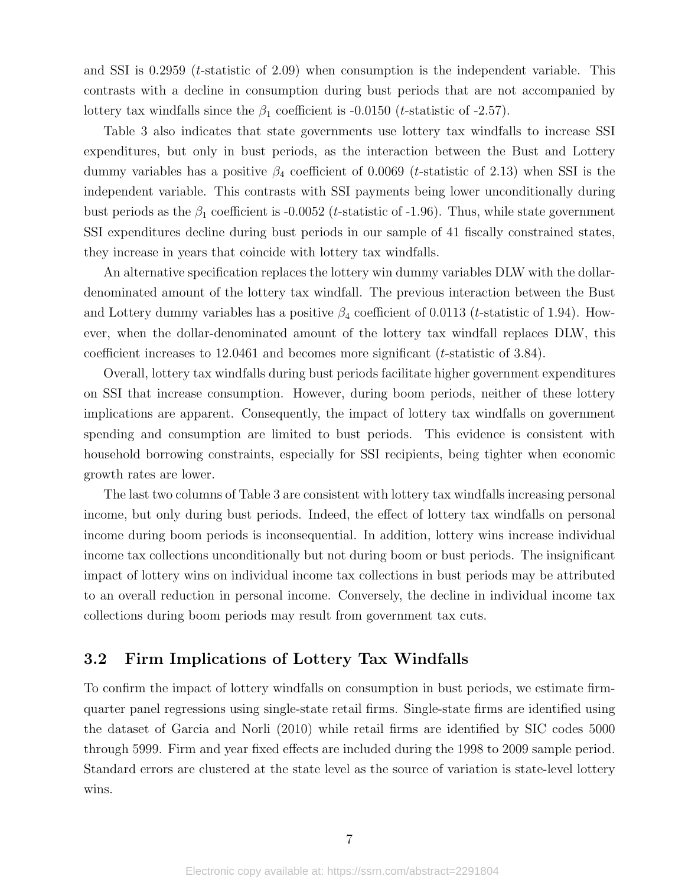and SSI is 0.2959 (t-statistic of 2.09) when consumption is the independent variable. This contrasts with a decline in consumption during bust periods that are not accompanied by lottery tax windfalls since the  $\beta_1$  coefficient is -0.0150 (*t*-statistic of -2.57).

Table 3 also indicates that state governments use lottery tax windfalls to increase SSI expenditures, but only in bust periods, as the interaction between the Bust and Lottery dummy variables has a positive  $\beta_4$  coefficient of 0.0069 (*t*-statistic of 2.13) when SSI is the independent variable. This contrasts with SSI payments being lower unconditionally during bust periods as the  $\beta_1$  coefficient is -0.0052 (*t*-statistic of -1.96). Thus, while state government SSI expenditures decline during bust periods in our sample of 41 fiscally constrained states, they increase in years that coincide with lottery tax windfalls.

An alternative specification replaces the lottery win dummy variables DLW with the dollardenominated amount of the lottery tax windfall. The previous interaction between the Bust and Lottery dummy variables has a positive  $\beta_4$  coefficient of 0.0113 (*t*-statistic of 1.94). However, when the dollar-denominated amount of the lottery tax windfall replaces DLW, this coefficient increases to 12.0461 and becomes more significant (t-statistic of 3.84).

Overall, lottery tax windfalls during bust periods facilitate higher government expenditures on SSI that increase consumption. However, during boom periods, neither of these lottery implications are apparent. Consequently, the impact of lottery tax windfalls on government spending and consumption are limited to bust periods. This evidence is consistent with household borrowing constraints, especially for SSI recipients, being tighter when economic growth rates are lower.

The last two columns of Table 3 are consistent with lottery tax windfalls increasing personal income, but only during bust periods. Indeed, the effect of lottery tax windfalls on personal income during boom periods is inconsequential. In addition, lottery wins increase individual income tax collections unconditionally but not during boom or bust periods. The insignificant impact of lottery wins on individual income tax collections in bust periods may be attributed to an overall reduction in personal income. Conversely, the decline in individual income tax collections during boom periods may result from government tax cuts.

# 3.2 Firm Implications of Lottery Tax Windfalls

To confirm the impact of lottery windfalls on consumption in bust periods, we estimate firmquarter panel regressions using single-state retail firms. Single-state firms are identified using the dataset of Garcia and Norli (2010) while retail firms are identified by SIC codes 5000 through 5999. Firm and year fixed effects are included during the 1998 to 2009 sample period. Standard errors are clustered at the state level as the source of variation is state-level lottery wins.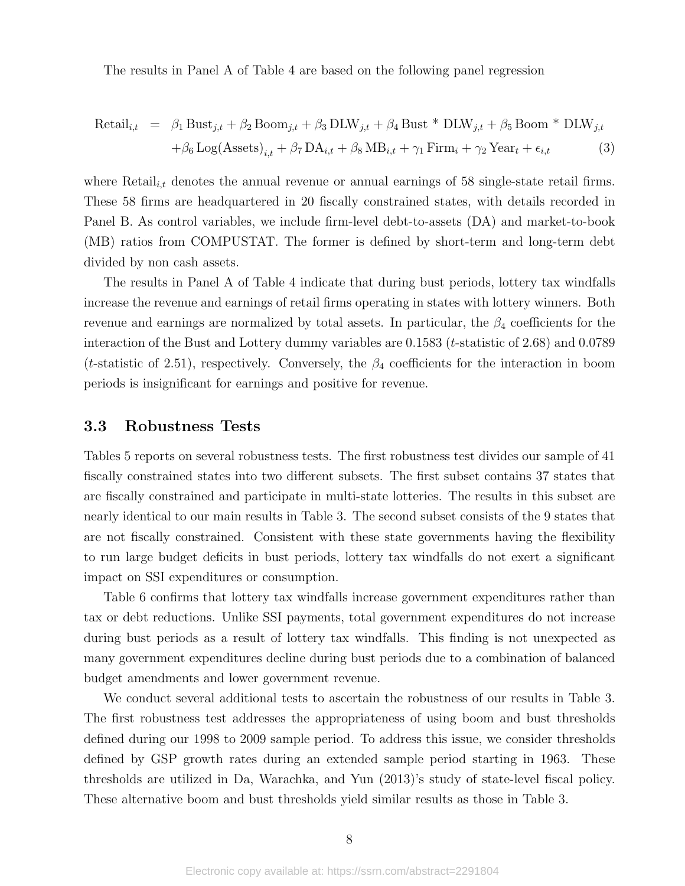The results in Panel A of Table 4 are based on the following panel regression

$$
Retail_{i,t} = \beta_1 \text{Bust}_{j,t} + \beta_2 \text{Boom}_{j,t} + \beta_3 \text{DLW}_{j,t} + \beta_4 \text{Bust} * \text{DLW}_{j,t} + \beta_5 \text{Boom} * \text{DLW}_{j,t} + \beta_6 \text{Log}(Assets)_{i,t} + \beta_7 \text{DA}_{i,t} + \beta_8 \text{MB}_{i,t} + \gamma_1 \text{Firm}_i + \gamma_2 \text{Year}_t + \epsilon_{i,t}
$$
(3)

where  $\text{Retail}_{i,t}$  denotes the annual revenue or annual earnings of 58 single-state retail firms. These 58 firms are headquartered in 20 fiscally constrained states, with details recorded in Panel B. As control variables, we include firm-level debt-to-assets (DA) and market-to-book (MB) ratios from COMPUSTAT. The former is defined by short-term and long-term debt divided by non cash assets.

The results in Panel A of Table 4 indicate that during bust periods, lottery tax windfalls increase the revenue and earnings of retail firms operating in states with lottery winners. Both revenue and earnings are normalized by total assets. In particular, the  $\beta_4$  coefficients for the interaction of the Bust and Lottery dummy variables are  $0.1583$  (*t*-statistic of 2.68) and  $0.0789$ (t-statistic of 2.51), respectively. Conversely, the  $\beta_4$  coefficients for the interaction in boom periods is insignificant for earnings and positive for revenue.

### 3.3 Robustness Tests

Tables 5 reports on several robustness tests. The first robustness test divides our sample of 41 fiscally constrained states into two different subsets. The first subset contains 37 states that are fiscally constrained and participate in multi-state lotteries. The results in this subset are nearly identical to our main results in Table 3. The second subset consists of the 9 states that are not fiscally constrained. Consistent with these state governments having the flexibility to run large budget deficits in bust periods, lottery tax windfalls do not exert a significant impact on SSI expenditures or consumption.

Table 6 confirms that lottery tax windfalls increase government expenditures rather than tax or debt reductions. Unlike SSI payments, total government expenditures do not increase during bust periods as a result of lottery tax windfalls. This finding is not unexpected as many government expenditures decline during bust periods due to a combination of balanced budget amendments and lower government revenue.

We conduct several additional tests to ascertain the robustness of our results in Table 3. The first robustness test addresses the appropriateness of using boom and bust thresholds defined during our 1998 to 2009 sample period. To address this issue, we consider thresholds defined by GSP growth rates during an extended sample period starting in 1963. These thresholds are utilized in Da, Warachka, and Yun (2013)'s study of state-level fiscal policy. These alternative boom and bust thresholds yield similar results as those in Table 3.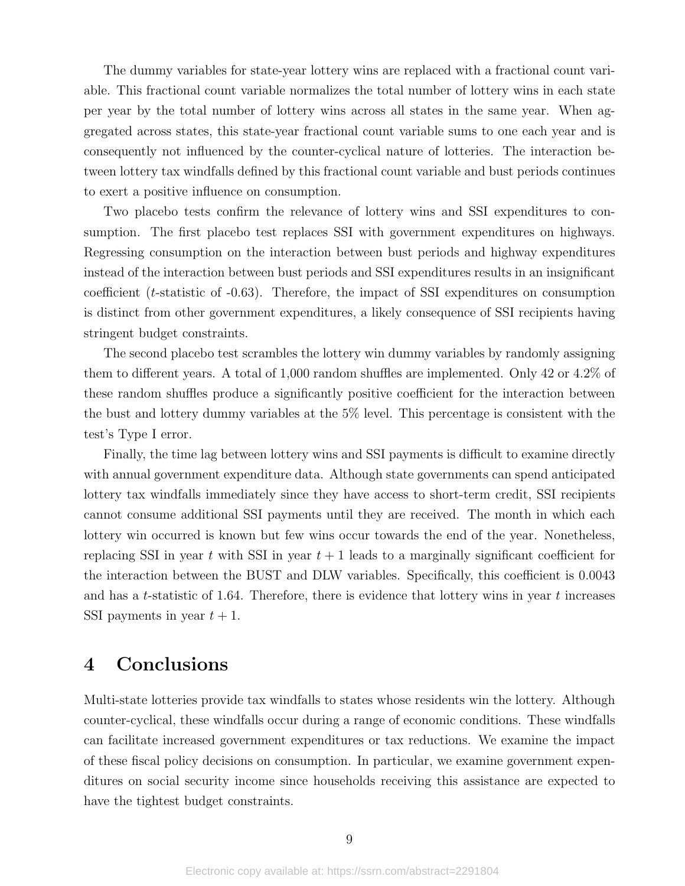The dummy variables for state-year lottery wins are replaced with a fractional count variable. This fractional count variable normalizes the total number of lottery wins in each state per year by the total number of lottery wins across all states in the same year. When aggregated across states, this state-year fractional count variable sums to one each year and is consequently not influenced by the counter-cyclical nature of lotteries. The interaction between lottery tax windfalls defined by this fractional count variable and bust periods continues to exert a positive influence on consumption.

Two placebo tests confirm the relevance of lottery wins and SSI expenditures to consumption. The first placebo test replaces SSI with government expenditures on highways. Regressing consumption on the interaction between bust periods and highway expenditures instead of the interaction between bust periods and SSI expenditures results in an insignificant coefficient (t-statistic of -0.63). Therefore, the impact of SSI expenditures on consumption is distinct from other government expenditures, a likely consequence of SSI recipients having stringent budget constraints.

The second placebo test scrambles the lottery win dummy variables by randomly assigning them to different years. A total of 1,000 random shuffles are implemented. Only 42 or 4.2% of these random shuffles produce a significantly positive coefficient for the interaction between the bust and lottery dummy variables at the 5% level. This percentage is consistent with the test's Type I error.

Finally, the time lag between lottery wins and SSI payments is difficult to examine directly with annual government expenditure data. Although state governments can spend anticipated lottery tax windfalls immediately since they have access to short-term credit, SSI recipients cannot consume additional SSI payments until they are received. The month in which each lottery win occurred is known but few wins occur towards the end of the year. Nonetheless, replacing SSI in year t with SSI in year  $t + 1$  leads to a marginally significant coefficient for the interaction between the BUST and DLW variables. Specifically, this coefficient is 0.0043 and has a t-statistic of 1.64. Therefore, there is evidence that lottery wins in year  $t$  increases SSI payments in year  $t + 1$ .

# 4 Conclusions

Multi-state lotteries provide tax windfalls to states whose residents win the lottery. Although counter-cyclical, these windfalls occur during a range of economic conditions. These windfalls can facilitate increased government expenditures or tax reductions. We examine the impact of these fiscal policy decisions on consumption. In particular, we examine government expenditures on social security income since households receiving this assistance are expected to have the tightest budget constraints.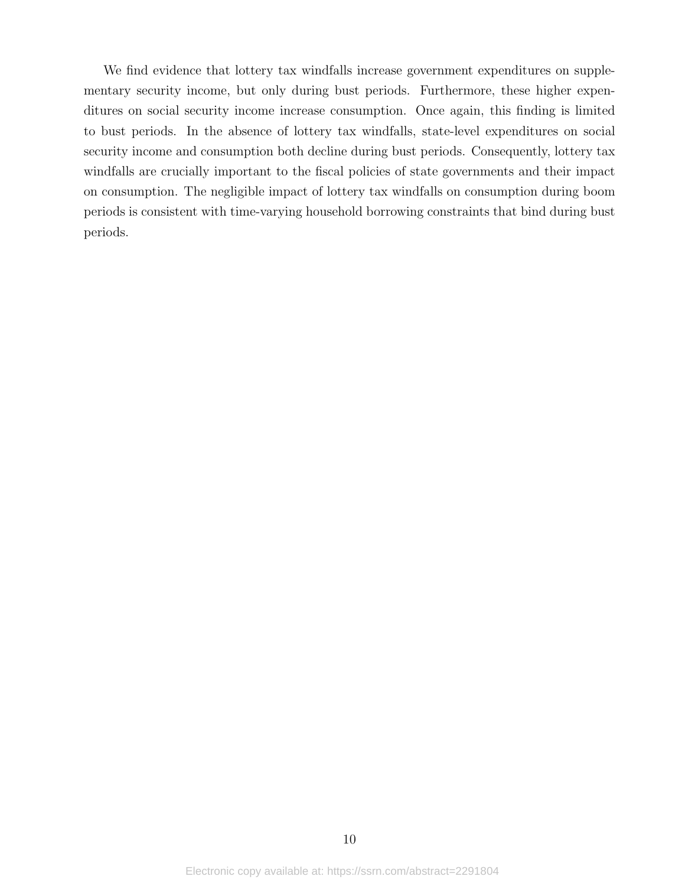We find evidence that lottery tax windfalls increase government expenditures on supplementary security income, but only during bust periods. Furthermore, these higher expenditures on social security income increase consumption. Once again, this finding is limited to bust periods. In the absence of lottery tax windfalls, state-level expenditures on social security income and consumption both decline during bust periods. Consequently, lottery tax windfalls are crucially important to the fiscal policies of state governments and their impact on consumption. The negligible impact of lottery tax windfalls on consumption during boom periods is consistent with time-varying household borrowing constraints that bind during bust periods.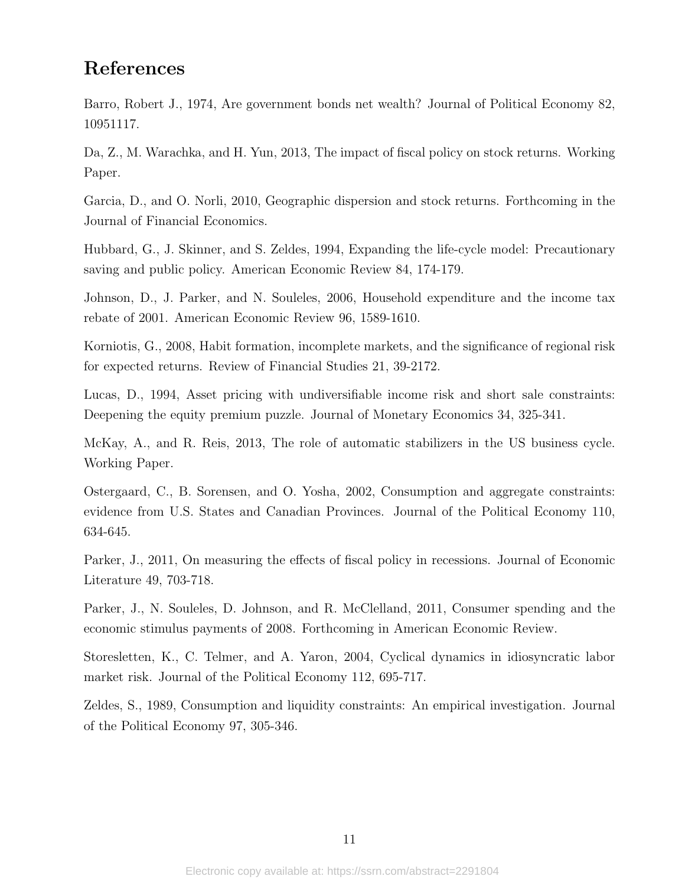# References

Barro, Robert J., 1974, Are government bonds net wealth? Journal of Political Economy 82, 10951117.

Da, Z., M. Warachka, and H. Yun, 2013, The impact of fiscal policy on stock returns. Working Paper.

Garcia, D., and O. Norli, 2010, Geographic dispersion and stock returns. Forthcoming in the Journal of Financial Economics.

Hubbard, G., J. Skinner, and S. Zeldes, 1994, Expanding the life-cycle model: Precautionary saving and public policy. American Economic Review 84, 174-179.

Johnson, D., J. Parker, and N. Souleles, 2006, Household expenditure and the income tax rebate of 2001. American Economic Review 96, 1589-1610.

Korniotis, G., 2008, Habit formation, incomplete markets, and the significance of regional risk for expected returns. Review of Financial Studies 21, 39-2172.

Lucas, D., 1994, Asset pricing with undiversifiable income risk and short sale constraints: Deepening the equity premium puzzle. Journal of Monetary Economics 34, 325-341.

McKay, A., and R. Reis, 2013, The role of automatic stabilizers in the US business cycle. Working Paper.

Ostergaard, C., B. Sorensen, and O. Yosha, 2002, Consumption and aggregate constraints: evidence from U.S. States and Canadian Provinces. Journal of the Political Economy 110, 634-645.

Parker, J., 2011, On measuring the effects of fiscal policy in recessions. Journal of Economic Literature 49, 703-718.

Parker, J., N. Souleles, D. Johnson, and R. McClelland, 2011, Consumer spending and the economic stimulus payments of 2008. Forthcoming in American Economic Review.

Storesletten, K., C. Telmer, and A. Yaron, 2004, Cyclical dynamics in idiosyncratic labor market risk. Journal of the Political Economy 112, 695-717.

Zeldes, S., 1989, Consumption and liquidity constraints: An empirical investigation. Journal of the Political Economy 97, 305-346.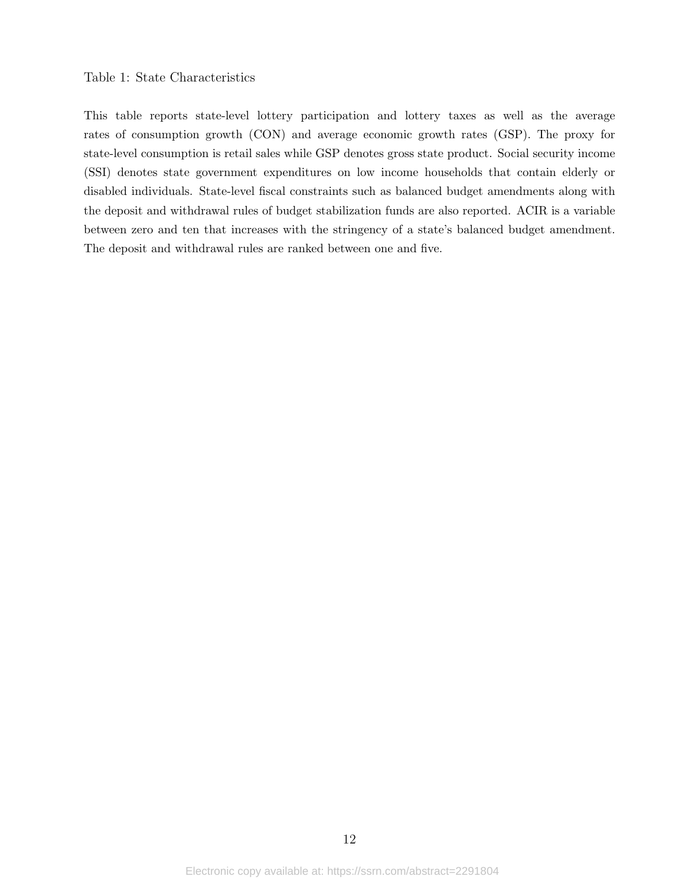#### Table 1: State Characteristics

This table reports state-level lottery participation and lottery taxes as well as the average rates of consumption growth (CON) and average economic growth rates (GSP). The proxy for state-level consumption is retail sales while GSP denotes gross state product. Social security income (SSI) denotes state government expenditures on low income households that contain elderly or disabled individuals. State-level fiscal constraints such as balanced budget amendments along with the deposit and withdrawal rules of budget stabilization funds are also reported. ACIR is a variable between zero and ten that increases with the stringency of a state's balanced budget amendment. The deposit and withdrawal rules are ranked between one and five.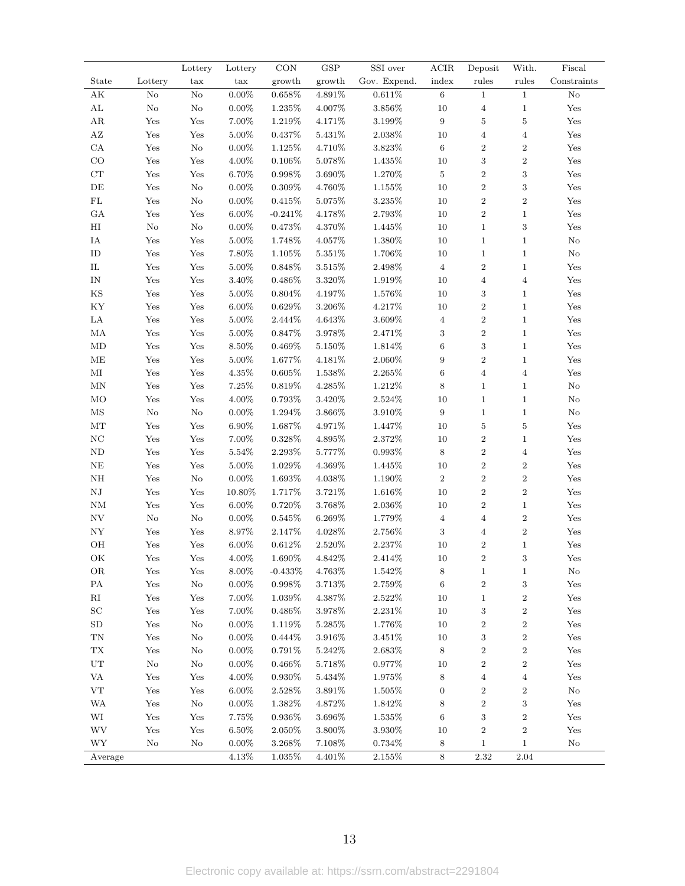|                                              |          | Lottery              | Lottery  | CON       | $\operatorname{GSP}$ | SSI over     | $\operatorname{ACIR}$ | Deposit          | With.                   | Fiscal               |
|----------------------------------------------|----------|----------------------|----------|-----------|----------------------|--------------|-----------------------|------------------|-------------------------|----------------------|
| State                                        | Lottery  | tax                  | tax      | growth    | growth               | Gov. Expend. | index                 | rules            | rules                   | Constraints          |
| $\mathbf{A}\mathbf{K}$                       | $\rm No$ | $\rm No$             | $0.00\%$ | $0.658\%$ | $4.891\%$            | $0.611\%$    | $6\phantom{.}$        | $\,1$            | $\mathbf{1}$            | $\rm No$             |
| $\mathbf{AL}$                                | $\rm No$ | $\rm No$             | $0.00\%$ | 1.235%    | 4.007%               | $3.856\%$    | 10                    | $\sqrt{4}$       | $\mathbf{1}$            | Yes                  |
| $\rm{AR}$                                    | Yes      | Yes                  | 7.00%    | 1.219%    | 4.171%               | 3.199%       | 9                     | $\bf 5$          | $\overline{5}$          | Yes                  |
| $\mathbf{A}\mathbf{Z}$                       | Yes      | Yes                  | 5.00%    | 0.437%    | 5.431%               | 2.038%       | 10                    | $\overline{4}$   | $\overline{4}$          | Yes                  |
| ${\rm CA}$                                   | Yes      | $\rm No$             | $0.00\%$ | 1.125%    | 4.710%               | 3.823%       | $\,6\,$               | $\boldsymbol{2}$ | $\overline{\mathbf{2}}$ | Yes                  |
| CO                                           | Yes      | Yes                  | 4.00%    | 0.106%    | 5.078%               | 1.435%       | 10                    | 3                | $\overline{2}$          | Yes                  |
| CT                                           | Yes      | $\operatorname{Yes}$ | 6.70%    | 0.998%    | 3.690%               | 1.270%       | $\overline{5}$        | $\,2$            | 3                       | $\operatorname{Yes}$ |
| DE                                           | Yes      | $\rm No$             | $0.00\%$ | 0.309%    | 4.760%               | 1.155%       | 10                    | $\,2$            | 3                       | $\operatorname{Yes}$ |
| $\rm FL$                                     | Yes      | $\rm No$             | $0.00\%$ | 0.415%    | 5.075%               | 3.235%       | 10                    | $\,2$            | $\overline{2}$          | $\operatorname{Yes}$ |
| $_{\mathrm{GA}}$                             | Yes      | $\operatorname{Yes}$ | $6.00\%$ | $-0.241%$ | 4.178%               | $2.793\%$    | 10                    | $\,2$            | $\mathbf{1}$            | $\operatorname{Yes}$ |
| $_{\rm HI}$                                  | $\rm No$ | $\rm No$             | $0.00\%$ | 0.473%    | 4.370%               | 1.445%       | 10                    | $\,1$            | $\sqrt{3}$              | $\operatorname{Yes}$ |
| IA                                           | Yes      | $\operatorname{Yes}$ | $5.00\%$ | 1.748%    | 4.057%               | 1.380%       | 10                    | $\mathbf{1}$     | $\mathbf{1}$            | $\rm No$             |
| $\rm ID$                                     | Yes      | $\operatorname{Yes}$ | 7.80%    | 1.105%    | 5.351%               | 1.706%       | 10                    | $\mathbf{1}$     | $\mathbf{1}$            | $\rm No$             |
| ${\rm IL}$                                   | Yes      | $\operatorname{Yes}$ | 5.00%    | 0.848%    | 3.515%               | 2.498%       | $\,4$                 | $\,2$            | $\mathbf{1}$            | $\operatorname{Yes}$ |
| $\ensuremath{\text{IN}}$                     | Yes      | $\operatorname{Yes}$ | 3.40%    | 0.486%    | 3.320%               | 1.919%       | 10                    | $\overline{4}$   | $\overline{4}$          | $\operatorname{Yes}$ |
| $_{\rm KS}$                                  | Yes      | $\operatorname{Yes}$ | $5.00\%$ | 0.804%    | $4.197\%$            | 1.576%       | 10                    | $\,3$            | $\mathbf{1}$            | $\operatorname{Yes}$ |
| KY                                           | Yes      | $\operatorname{Yes}$ | $6.00\%$ | 0.629%    | 3.206%               | 4.217%       | 10                    | $\,2$            | $\mathbf{1}$            | $\operatorname{Yes}$ |
| $\rm{LA}$                                    | Yes      | $\operatorname{Yes}$ | $5.00\%$ | 2.444%    | 4.643%               | 3.609%       | $\overline{4}$        | $\,2$            | $\mathbf{1}$            | $\operatorname{Yes}$ |
| $\rm MA$                                     |          | $\operatorname{Yes}$ | $5.00\%$ |           |                      |              | 3                     | $\,2$            | $\,1$                   | $\operatorname{Yes}$ |
|                                              | Yes      |                      |          | 0.847%    | 3.978%               | 2.471%       | $\,6$                 |                  |                         |                      |
| MD                                           | Yes      | $\operatorname{Yes}$ | 8.50%    | 0.469%    | 5.150%               | 1.814%       |                       | 3                | $\,1$                   | $\operatorname{Yes}$ |
| $\operatorname{ME}$                          | Yes      | $\operatorname{Yes}$ | $5.00\%$ | 1.677%    | 4.181%               | 2.060%       | 9                     | $\boldsymbol{2}$ | $\mathbf{1}$            | $\operatorname{Yes}$ |
| MI                                           | Yes      | Yes                  | 4.35%    | 0.605%    | 1.538%               | 2.265\%      | $\,6\,$               | $\sqrt{4}$       | $\overline{4}$          | Yes                  |
| <b>MN</b>                                    | Yes      | Yes                  | 7.25%    | 0.819%    | 4.285%               | 1.212%       | $8\,$                 | $\,1$            | $\mathbf{1}$            | $\rm No$             |
| MO                                           | Yes      | Yes                  | 4.00%    | 0.793%    | 3.420%               | $2.524\%$    | 10                    | $\mathbf{1}$     | $\mathbf{1}$            | No                   |
| $\rm MS$                                     | $\rm No$ | $\rm No$             | $0.00\%$ | 1.294%    | 3.866%               | 3.910%       | 9                     | $\,1$            | $\,1$                   | $\rm No$             |
| MT                                           | Yes      | Yes                  | $6.90\%$ | 1.687%    | 4.971%               | 1.447%       | 10                    | $\bf 5$          | $\bf 5$                 | Yes                  |
| NC                                           | Yes      | Yes                  | $7.00\%$ | 0.328\%   | 4.895%               | 2.372%       | 10                    | $\boldsymbol{2}$ | $\mathbf{1}$            | Yes                  |
| $\rm ND$                                     | Yes      | Yes                  | 5.54%    | 2.293%    | 5.777%               | 0.993%       | $8\,$                 | $\boldsymbol{2}$ | $\overline{4}$          | Yes                  |
| $_{\rm NE}$                                  | Yes      | Yes                  | $5.00\%$ | 1.029%    | 4.369%               | 1.445%       | 10                    | $\overline{2}$   | $\,2$                   | Yes                  |
| $\rm{NH}$                                    | Yes      | $\rm No$             | $0.00\%$ | 1.693%    | 4.038%               | 1.190%       | $\,2$                 | $\overline{2}$   | $\overline{2}$          | Yes                  |
| ${\rm NJ}$                                   | Yes      | Yes                  | 10.80%   | 1.717%    | $3.721\%$            | 1.616%       | 10                    | $\boldsymbol{2}$ | $\overline{2}$          | Yes                  |
| NM                                           | Yes      | Yes                  | $6.00\%$ | 0.720%    | 3.768%               | 2.036%       | 10                    | $\,2$            | $\mathbf{1}$            | Yes                  |
| ${\rm NV}$                                   | $\rm No$ | $\rm No$             | $0.00\%$ | 0.545%    | 6.269%               | 1.779%       | $\overline{4}$        | $\overline{4}$   | $\boldsymbol{2}$        | Yes                  |
| ${\rm NY}$                                   | Yes      | Yes                  | 8.97%    | 2.147%    | 4.028%               | 2.756%       | $\,3$                 | $\overline{4}$   | $\boldsymbol{2}$        | Yes                  |
| OH                                           | Yes      | Yes                  | $6.00\%$ | 0.612%    | 2.520%               | 2.237%       | 10                    | $\overline{2}$   | $\mathbf{1}$            | Yes                  |
| OK                                           | Yes      | Yes                  | 4.00%    | 1.690%    | 4.842\%              | 2.414\%      | 10                    | $\overline{2}$   | 3                       | Yes                  |
| <b>OR</b>                                    | Yes      | ${\rm Yes}$          | 8.00%    | $-0.433%$ | 4.763%               | 1.542\%      | 8                     | $\,1$            | $\mathbf{1}$            | No                   |
| ${\rm PA}$                                   | Yes      | $\rm No$             | $0.00\%$ | 0.998%    | 3.713%               | $2.759\%$    | $\,6\,$               | $\,2$            | 3                       | Yes                  |
| $\rm RI$                                     | Yes      | Yes                  | 7.00%    | 1.039%    | 4.387%               | 2.522%       | 10                    | $\mathbf{1}$     | $\overline{2}$          | Yes                  |
| $\operatorname{SC}$                          | Yes      | ${\rm Yes}$          | 7.00%    | 0.486%    | 3.978%               | 2.231%       | $10\,$                | $\sqrt{3}$       | $\overline{2}$          | Yes                  |
| ${\rm SD}$                                   | Yes      | $\rm No$             | $0.00\%$ | 1.119%    | 5.285\%              | 1.776%       | 10                    | $\,2$            | $\,2$                   | Yes                  |
| $\rm TN$                                     | Yes      | $\rm No$             | $0.00\%$ | 0.444%    | 3.916%               | 3.451%       | 10                    | $\,3$            | $\overline{2}$          | Yes                  |
| $\mathcal{T}\mathcal{X}$                     | Yes      | $\rm No$             | $0.00\%$ | 0.791%    | $5.242\%$            | 2.683%       | $8\,$                 | $\boldsymbol{2}$ | $\overline{2}$          | Yes                  |
| ${\rm UT}$                                   | $\rm No$ | $\rm No$             | $0.00\%$ | 0.466%    | 5.718%               | 0.977%       | 10                    | $\boldsymbol{2}$ | $\overline{2}$          | Yes                  |
| VA                                           | Yes      | $\operatorname{Yes}$ | $4.00\%$ | 0.930%    | 5.434%               | 1.975%       | 8                     | $\,4$            | $\overline{4}$          | Yes                  |
| ${\rm VT}$                                   | Yes      | $\operatorname{Yes}$ | $6.00\%$ | 2.528\%   | $3.891\%$            | 1.505%       | $\boldsymbol{0}$      | $\,2$            | $\,2$                   | $\rm No$             |
| <b>WA</b>                                    | Yes      | $\rm No$             | $0.00\%$ | 1.382%    | 4.872%               | 1.842%       | 8                     | $\boldsymbol{2}$ | $\sqrt{3}$              | Yes                  |
| WI                                           | Yes      | $\operatorname{Yes}$ | 7.75%    | 0.936%    | 3.696%               | 1.535%       | $\,6$                 | $\,3$            | $\,2$                   | Yes                  |
| $\ensuremath{\text{W}}\ensuremath{\text{V}}$ | Yes      | $\operatorname{Yes}$ | $6.50\%$ | 2.050%    | 3.800%               | 3.930%       | $10\,$                | $\sqrt{2}$       | $\overline{2}$          | Yes                  |
| $\ensuremath{\text{WY}}$                     | No       | $\rm No$             | $0.00\%$ | 3.268\%   | 7.108%               | $0.734\%$    | 8                     | $\,1$            | $1\,$                   | No                   |
| Average                                      |          |                      | $4.13\%$ | $1.035\%$ | 4.401%               | $2.155\%$    | 8                     | 2.32             | 2.04                    |                      |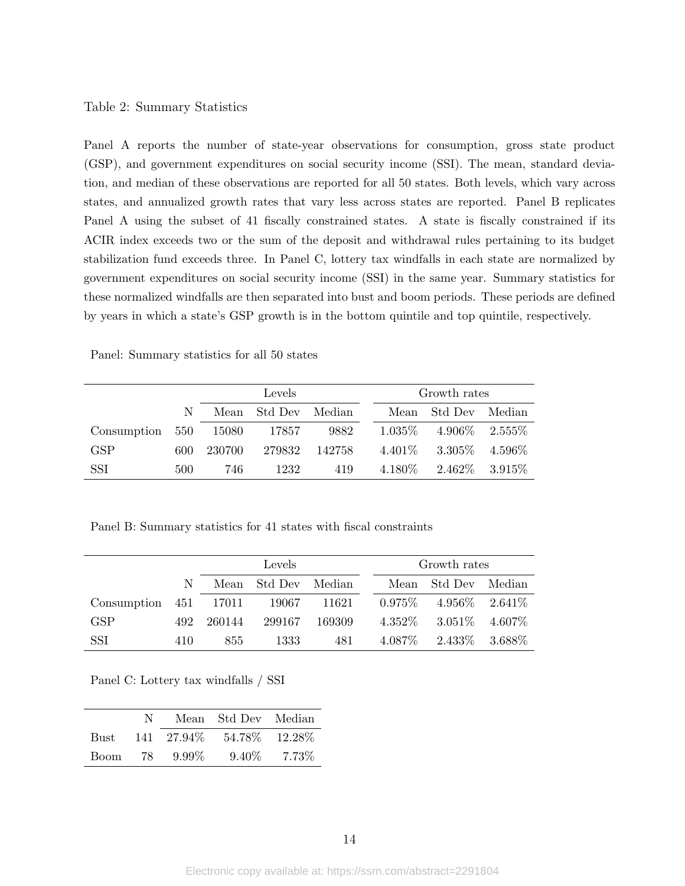#### Table 2: Summary Statistics

Panel A reports the number of state-year observations for consumption, gross state product (GSP), and government expenditures on social security income (SSI). The mean, standard deviation, and median of these observations are reported for all 50 states. Both levels, which vary across states, and annualized growth rates that vary less across states are reported. Panel B replicates Panel A using the subset of 41 fiscally constrained states. A state is fiscally constrained if its ACIR index exceeds two or the sum of the deposit and withdrawal rules pertaining to its budget stabilization fund exceeds three. In Panel C, lottery tax windfalls in each state are normalized by government expenditures on social security income (SSI) in the same year. Summary statistics for these normalized windfalls are then separated into bust and boom periods. These periods are defined by years in which a state's GSP growth is in the bottom quintile and top quintile, respectively.

|             |     |        | Levels  |        |           | Growth rates |           |
|-------------|-----|--------|---------|--------|-----------|--------------|-----------|
|             | N   | Mean   | Std Dev | Median |           | Mean Std Dev | Median    |
| Consumption | 550 | 15080  | 17857   | 9882   | $1.035\%$ | $4.906\%$    | $2.555\%$ |
| <b>GSP</b>  | 600 | 230700 | 279832  | 142758 | $4.401\%$ | $3.305\%$    | 4.596\%   |
| <b>SSI</b>  | 500 | 746    | 1232    | 419    | 4.180\%   | $2.462\%$    | $3.915\%$ |

Panel: Summary statistics for all 50 states

Panel B: Summary statistics for 41 states with fiscal constraints

|                         |     |        | Levels         |        |           | Growth rates        |  |
|-------------------------|-----|--------|----------------|--------|-----------|---------------------|--|
|                         | N   | Mean   | Std Dev Median |        |           | Mean Std Dev Median |  |
| Consumption $451$ 17011 |     |        | 19067          | 11621  | $0.975\%$ | $4.956\%$ $2.641\%$ |  |
| <b>GSP</b>              | 492 | 260144 | 299167         | 169309 | $4.352\%$ | $3.051\%$ $4.607\%$ |  |
| <b>SSI</b>              | 410 | 855    | 1333           | 481    | $4.087\%$ | $2.433\%$ $3.688\%$ |  |

#### Panel C: Lottery tax windfalls / SSI

|      | N   |           | Mean Std Dev Median |           |
|------|-----|-----------|---------------------|-----------|
| Bust | 141 | $27.94\%$ | $54.78\%$           | $12.28\%$ |
| Boom | 78. | $9.99\%$  | 9.40\%              | $7.73\%$  |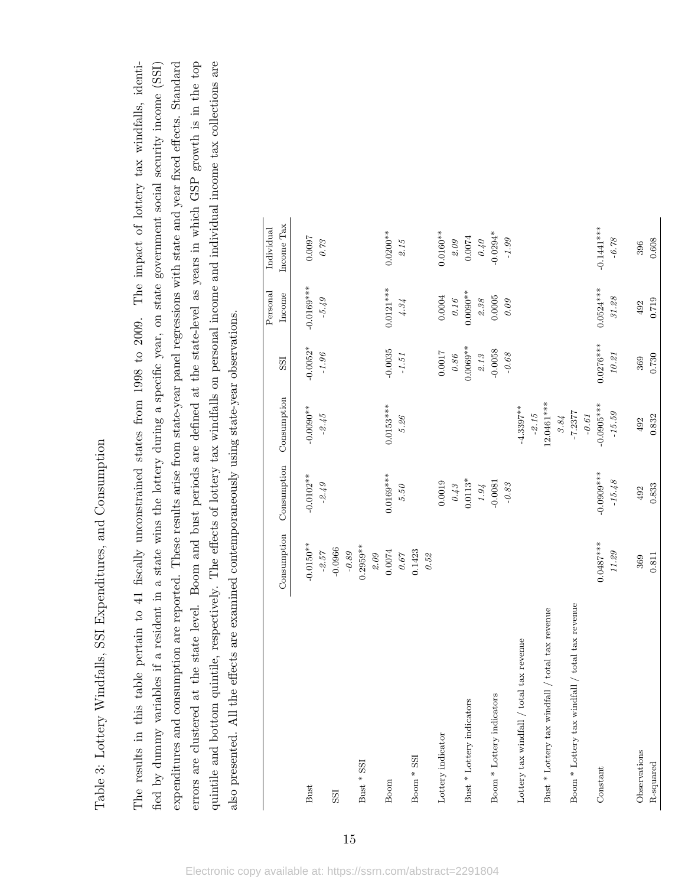Table 3: Lottery Windfalls, SSI Expenditures, and Consumption Table 3: Lottery Windfalls, SSI Expenditures, and Consumption

expenditures and consumption are reported. These results arise from state-year panel regressions with state and year fixed effects. Standard errors are clustered at the state level. Boom and bust periods are defined at the state-level as years in which GSP growth is in the top The results in this table pertain to 41 fiscally unconstrained states from 1998 to 2009. The impact of lottery tax windfalls, identified by dummy variables if a resident in a state wins the lottery during a specific year, on state government social security income (SSI) quintile and bottom quintile, respectively. The effects of lottery tax windfalls on personal income and individual income tax collections are The results in this table pertain to 41 fiscally unconstrained states from 1998 to 2009. The impact of lottery tax windfalls, identified by dummy variables if a resident in a state wins the lottery during a specific year, on state government social security income (SSI) expenditures and consumption are reported. These results arise from state-year panel regressions with state and year fixed effects. Standard errors are clustered at the state level. Boom and bust periods are defined at the state-level as years in which GSP growth is in the top quintile and bottom quintile, respectively. The effects of lottery tax windfalls on personal income and individual income tax collections are also presented. All the effects are examined contemporaneously using state-year observations. also presented. All the effects are examined contemporaneously using state-year observations.

|                                                   | Consumption                   | Consumption  | Consumption  | <b>SSI</b>  | Personal<br>Income | Income Tax<br>Individual |
|---------------------------------------------------|-------------------------------|--------------|--------------|-------------|--------------------|--------------------------|
| Bust                                              | $-0.0150**$                   | $-0.0102**$  | $-0.0090**$  | $-0.0052*$  | $-0.0169***$       | 0.0097                   |
|                                                   | $-2.57$                       | $-2.49$      | $-2.45$      | $-1.96$     | $-5.49$            | 0.73                     |
| SSI                                               | $-0.0966$                     |              |              |             |                    |                          |
|                                                   | $-0.89$                       |              |              |             |                    |                          |
| Bust * SSI                                        | $0.2959***$                   |              |              |             |                    |                          |
|                                                   | 2.09                          |              |              |             |                    |                          |
| Boom                                              | 0.0074                        | $0.0169***$  | $0.0153***$  | $-0.0035$   | $0.0121***$        | $0.0200**$               |
|                                                   | $0.67\,$                      | $5.50\,$     | $5.26$       | $-1.51$     | 4.34               | 2.15                     |
| Boom * SSI                                        | 0.1423                        |              |              |             |                    |                          |
|                                                   | $0.5\ensuremath{\mathcal{Q}}$ |              |              |             |                    |                          |
| Lottery indicator                                 |                               | 0.0019       |              | 0.0017      | 0.0004             | $0.0160**$               |
|                                                   |                               | $0.43\,$     |              | $0.86\,$    | $0.16\,$           | $\it 2.09$               |
| Bust * Lottery indicators                         |                               | $0.0113*$    |              | $0.0069**$  | $0.0090**$         | 0.0074                   |
|                                                   |                               | $1.94\,$     |              | $\it 2.13$  | $2.38\,$           | $0.4\,\mathrm{O}$        |
| Boom * Lottery indicators                         |                               | $-0.0081$    |              | $-0.0058$   | 0.0005             | $-0.0294*$               |
|                                                   |                               | $-0.83$      |              | $-0.68$     | 0.09               | $-1.99$                  |
| Lottery tax windfall / total tax revenue          |                               |              | $-4.3397***$ |             |                    |                          |
|                                                   |                               |              | $-2.15$      |             |                    |                          |
| Bust * Lottery tax windfall / total tax revenue   |                               |              | 12.0461***   |             |                    |                          |
|                                                   |                               |              | $3.84\,$     |             |                    |                          |
| Boom * Lottery tax windfall $/$ total tax revenue |                               |              | $-7.2377$    |             |                    |                          |
|                                                   |                               |              | $-0.61$      |             |                    |                          |
| Constant                                          | $0.0487***$                   | $-0.0909***$ | $-0.0905***$ | $0.0276***$ | $0.0524***$        | $-0.1441***$             |
|                                                   | $11.29$                       | $-15.48$     | $-15.59$     | $10.21\,$   | $31.28\,$          | $-6.78$                  |
| Observations                                      | 369                           | 492          | 492          | 369         | 492                | 396                      |
| R-squared                                         | 0.811                         | 0.833        | 0.832        | 0.730       | 0.719              | 0.608                    |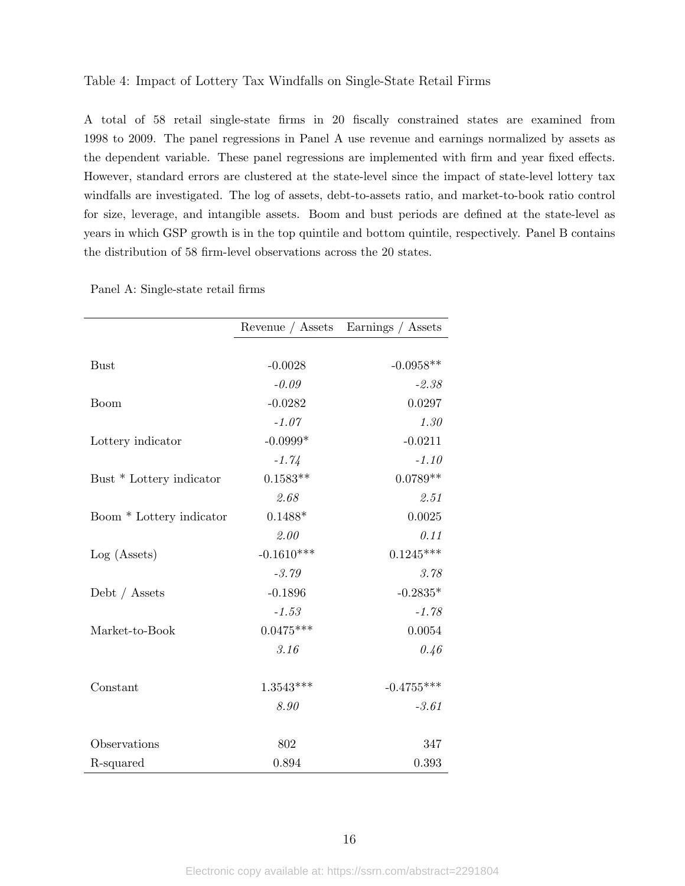#### Table 4: Impact of Lottery Tax Windfalls on Single-State Retail Firms

A total of 58 retail single-state firms in 20 fiscally constrained states are examined from 1998 to 2009. The panel regressions in Panel A use revenue and earnings normalized by assets as the dependent variable. These panel regressions are implemented with firm and year fixed effects. However, standard errors are clustered at the state-level since the impact of state-level lottery tax windfalls are investigated. The log of assets, debt-to-assets ratio, and market-to-book ratio control for size, leverage, and intangible assets. Boom and bust periods are defined at the state-level as years in which GSP growth is in the top quintile and bottom quintile, respectively. Panel B contains the distribution of 58 firm-level observations across the 20 states.

|                          |              | Revenue / Assets Earnings / Assets |
|--------------------------|--------------|------------------------------------|
|                          |              |                                    |
| <b>Bust</b>              | $-0.0028$    | $-0.0958**$                        |
|                          | $-0.09$      | $-2.38$                            |
| <b>Boom</b>              | $-0.0282$    | 0.0297                             |
|                          | $-1.07$      | 1.30                               |
| Lottery indicator        | $-0.0999*$   | $-0.0211$                          |
|                          | $-1.74$      | $-1.10$                            |
| Bust * Lottery indicator | $0.1583**$   | $0.0789**$                         |
|                          | 2.68         | 2.51                               |
| Boom * Lottery indicator | $0.1488*$    | 0.0025                             |
|                          | 2.00         | 0.11                               |
| Log (Assets)             | $-0.1610***$ | $0.1245***$                        |
|                          | $-3.79$      | 3.78                               |
| Debt / Assets            | $-0.1896$    | $-0.2835*$                         |
|                          | $-1.53$      | $-1.78$                            |
| Market-to-Book           | $0.0475***$  | 0.0054                             |
|                          | 3.16         | 0.46                               |
|                          |              |                                    |
| Constant                 | $1.3543***$  | $-0.4755***$                       |
|                          | 8.90         | $-3.61$                            |
|                          |              |                                    |
| Observations             | 802          | 347                                |
| R-squared                | 0.894        | 0.393                              |

Panel A: Single-state retail firms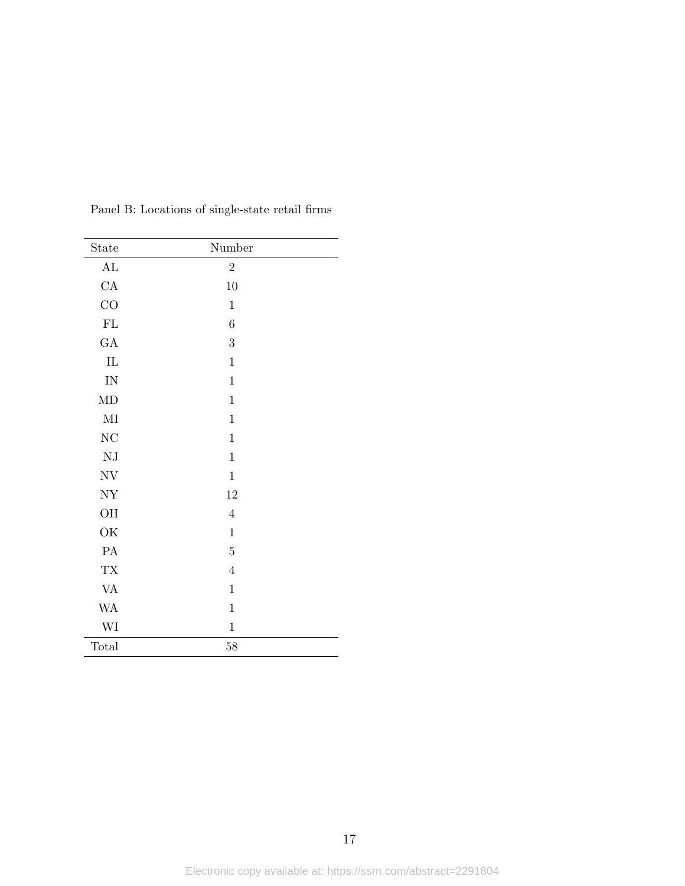| State                           | Number           |
|---------------------------------|------------------|
| AL                              | $\overline{2}$   |
| ${\rm CA}$                      | 10               |
| CO                              | $1\,$            |
| $\mathbf{FL}$                   | $\boldsymbol{6}$ |
| GA                              | 3                |
| ${\rm IL}$                      | $\mathbf{1}$     |
| IN                              | $\mathbf{1}$     |
| MD                              | $\mathbf 1$      |
| $\rm MI$                        | $\mathbf{1}$     |
| NC                              | $\mathbf{1}$     |
| NJ                              | $\mathbf{1}$     |
| $\ensuremath{\text{NV}}$        | $\mathbf 1$      |
| ${\rm NY}$                      | 12               |
| OH                              | $\overline{4}$   |
| OK                              | $\mathbf{1}$     |
| ${\rm PA}$                      | $\bf 5$          |
| ${\rm T}{\rm X}$                | $\overline{4}$   |
| $\ensuremath{\text{VA}}\xspace$ | $\mathbf{1}$     |
| <b>WA</b>                       | $\mathbf 1$      |
| WI                              | $1\,$            |
| Total                           | $58\,$           |

Panel B: Locations of single-state retail firms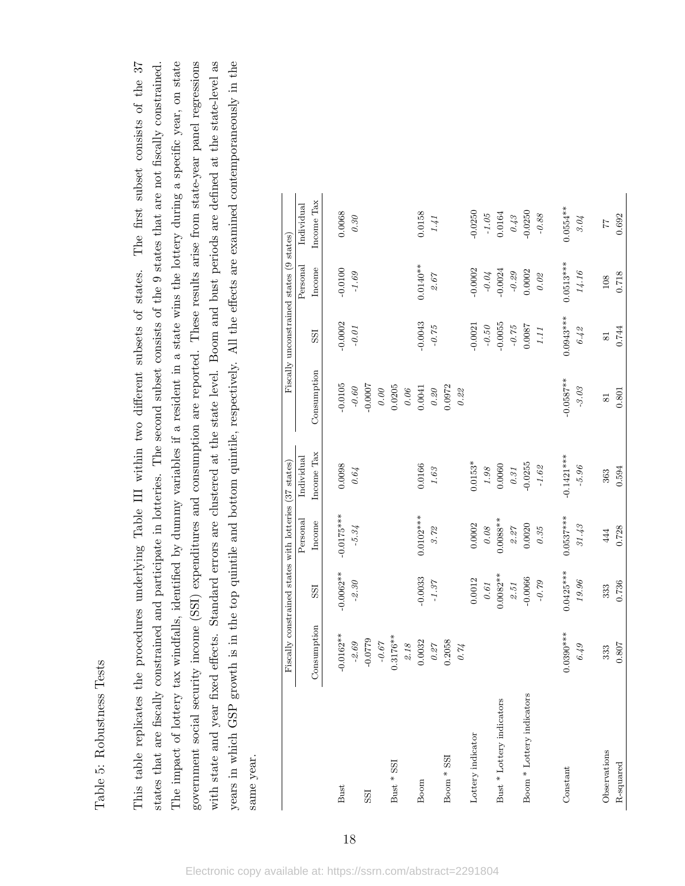# Table 5: Robustness Tests Table 5: Robustness Tests

This table replicates the procedures underlying Table III within two different subsets of states. The first subset consists of the 37 government social security income (SSI) expenditures and consumption are reported. These results arise from state-year panel regressions with state and year fixed effects. Standard errors are clustered at the state level. Boom and bust periods are defined at the state-level as years in which GSP growth is in the top quintile and bottom quintile, respectively. All the effects are examined contemporaneously in the states that are fiscally constrained and participate in lotteries. The second subset consists of the 9 states that are not fiscally constrained. The impact of lottery tax windfalls, identified by dummy variables if a resident in a state wins the lottery during a specific year, on state This table replicates the procedures underlying Table III within two different subsets of states. The first subset consists of the 37 states that are fiscally constrained and participate in lotteries. The second subset consists of the 9 states that are not fiscally constrained. The impact of lottery tax windfalls, identified by dummy variables if a resident in a state wins the lottery during a specific year, on state government social security income (SSI) expenditures and consumption are reported. These results arise from state-year panel regressions with state and year fixed effects. Standard errors are clustered at the state level. Boom and bust periods are defined at the state-level as years in which GSP growth is in the top quintile and bottom quintile, respectively. All the effects are examined contemporaneously in the same year. same year.

|                           |             |              | Fiscally constrained states with lotteries (37 states) |              |                | Fiscally unconstrained states (9 states) |             |                |
|---------------------------|-------------|--------------|--------------------------------------------------------|--------------|----------------|------------------------------------------|-------------|----------------|
|                           |             |              | Personal                                               | Individual   |                |                                          | Personal    | Individual     |
|                           | Consumption | SSI          | Income                                                 | Income Tax   | Consumption    | <b>SSI</b>                               | Income      | Income Tax     |
| Bust                      | $-0.0162**$ | $-0.0062***$ | $-0.0175***$                                           | 0.0098       | $-0.0105$      | $-0.0002$                                | $-0.0100$   | 0.0068         |
|                           | $-2.69$     | $-2.30$      | $-5.34$                                                | 0.64         | $-0.60$        | $-0.01$                                  | $-1.69$     | 0.30           |
| <b>SSI</b>                | $-0.0779$   |              |                                                        |              | $-0.0007$      |                                          |             |                |
|                           | $-0.67$     |              |                                                        |              | $0.00$         |                                          |             |                |
| Bust * SSI                | $0.3176**$  |              |                                                        |              | 0.0205         |                                          |             |                |
|                           | $\it 2.18$  |              |                                                        |              | $0.06$         |                                          |             |                |
| Boom                      | 0.0032      | $-0.0033$    | $0.0102***$                                            | 0.0166       | 0.0041         | $-0.0043$                                | $0.0140**$  | 0.0158         |
|                           | $0.27\,$    | $-1.37$      | 3.72                                                   | 1.63         | $0.20\,$       | $-0.75$                                  | 2.67        | 1.41           |
| Boom * SSI                | 0.2058      |              |                                                        |              | 0.0972         |                                          |             |                |
|                           | 0.74        |              |                                                        |              | $0.22\,$       |                                          |             |                |
| Lottery indicator         |             | 0.0012       | 0.0002                                                 | $0.0153*$    |                | $-0.0021$                                | $-0.0002$   | $-0.0250$      |
|                           |             | $0.61\,$     | $0.08\,$                                               | $1.98\,$     |                | $-0.50$                                  | $-0.04$     | $\text{-}1.05$ |
| Bust * Lottery indicators |             | $0.0082**$   | $0.0088**$                                             | 0.0060       |                | $-0.0055$                                | $-0.0024$   | 0.0164         |
|                           |             | 2.51         | 2.27                                                   | $0.31\,$     |                | $-0.75$                                  | $-0.29$     | $0.43\,$       |
| Boom * Lottery indicators |             | 0.0066       | 0.0020                                                 | $-0.0255$    |                | 0.0087                                   | 0.0002      | $-0.0250$      |
|                           |             | $-0.79$      | $0.35\,$                                               | $-1.62$      |                | 1.11                                     | $0.02$      | $-0.88$        |
| Constant                  | $0.0390***$ | $0.0425***$  | $0.0537***$                                            | $-0.1421***$ | $-0.0587***$   | $0.0943***$                              | $0.0513***$ | $0.0554***$    |
|                           | 6.49        | $19.96\,$    | $31.43\,$                                              | $-5.96$      | $-3.03$        | 6.42                                     | $14.16$     | $\it 3.04$     |
| Observations              | 333         | 333          | 444                                                    | 363          | $\overline{8}$ | $\overline{81}$                          | 108         | 77             |
| $R$ -squared              | 0.807       | 0.736        | 0.728                                                  | 0.594        | 0.801          | 0.744                                    | 0.718       | 0.692          |